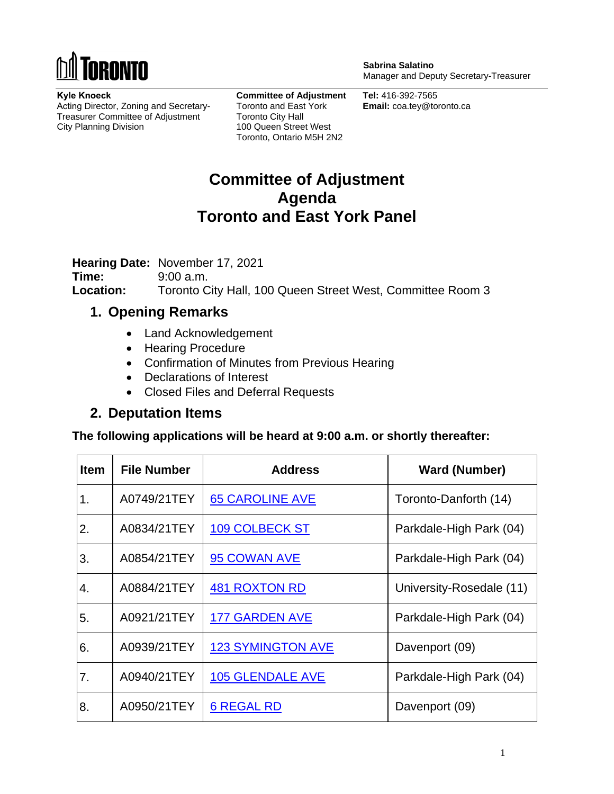

**Kyle Knoeck** Acting Director, Zoning and Secretary-Treasurer Committee of Adjustment City Planning Division

**Committee of Adjustment** Toronto and East York Toronto City Hall 100 Queen Street West Toronto, Ontario M5H 2N2

**Sabrina Salatino** Manager and Deputy Secretary-Treasurer

**Tel:** 416-392-7565 **Email:** coa.tey@toronto.ca

## **Committee of Adjustment Agenda Toronto and East York Panel**

**Hearing Date:** November 17, 2021

**Time:** 9:00 a.m. **Location:** Toronto City Hall, 100 Queen Street West, Committee Room 3

## **1. Opening Remarks**

- Land Acknowledgement
- Hearing Procedure
- Confirmation of Minutes from Previous Hearing
- Declarations of Interest
- Closed Files and Deferral Requests

## **2. Deputation Items**

**The following applications will be heard at 9:00 a.m. or shortly thereafter:** 

| <b>Item</b> | <b>File Number</b> | <b>Address</b>           | <b>Ward (Number)</b>     |
|-------------|--------------------|--------------------------|--------------------------|
| 1.          | A0749/21TEY        | <b>65 CAROLINE AVE</b>   | Toronto-Danforth (14)    |
| 2.          | A0834/21TEY        | <b>109 COLBECK ST</b>    | Parkdale-High Park (04)  |
| 3.          | A0854/21TEY        | 95 COWAN AVE             | Parkdale-High Park (04)  |
| 4.          | A0884/21TEY        | <b>481 ROXTON RD</b>     | University-Rosedale (11) |
| 5.          | A0921/21TEY        | <b>177 GARDEN AVE</b>    | Parkdale-High Park (04)  |
| 6.          | A0939/21TEY        | <b>123 SYMINGTON AVE</b> | Davenport (09)           |
| 7.          | A0940/21TEY        | <b>105 GLENDALE AVE</b>  | Parkdale-High Park (04)  |
| 8.          | A0950/21TEY        | <b>6 REGAL RD</b>        | Davenport (09)           |